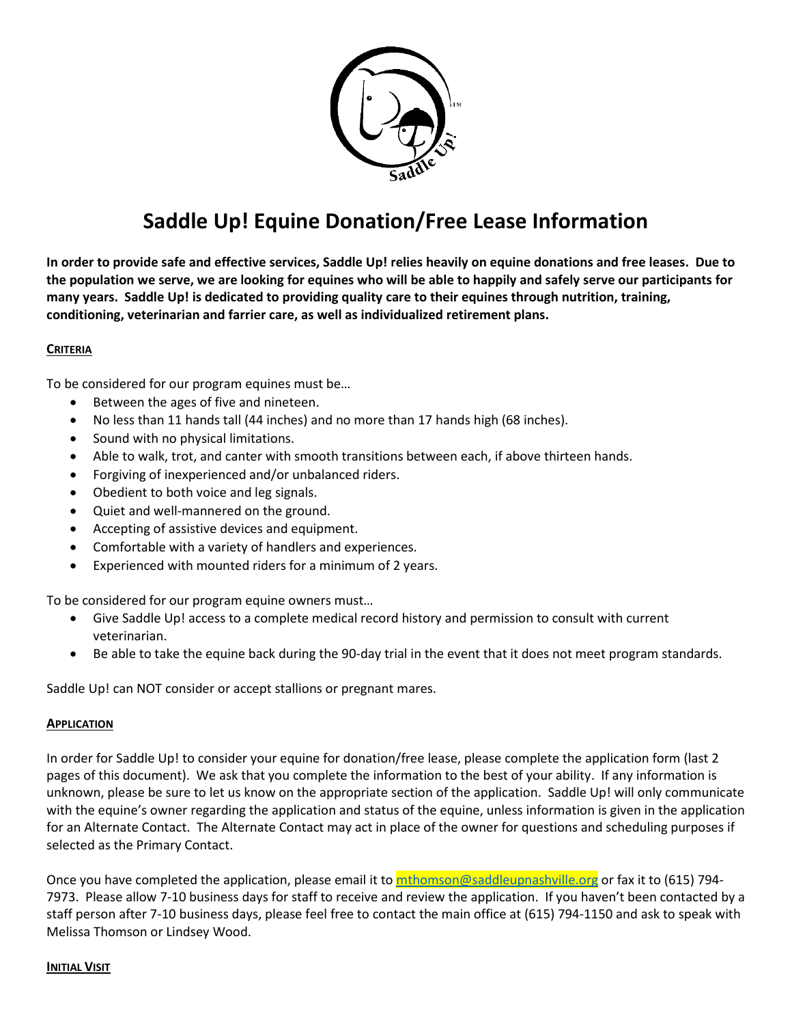

## **Saddle Up! Equine Donation/Free Lease Information**

**In order to provide safe and effective services, Saddle Up! relies heavily on equine donations and free leases. Due to the population we serve, we are looking for equines who will be able to happily and safely serve our participants for many years. Saddle Up! is dedicated to providing quality care to their equines through nutrition, training, conditioning, veterinarian and farrier care, as well as individualized retirement plans.**

## **CRITERIA**

To be considered for our program equines must be…

- Between the ages of five and nineteen.
- No less than 11 hands tall (44 inches) and no more than 17 hands high (68 inches).
- Sound with no physical limitations.
- Able to walk, trot, and canter with smooth transitions between each, if above thirteen hands.
- Forgiving of inexperienced and/or unbalanced riders.
- Obedient to both voice and leg signals.
- Quiet and well-mannered on the ground.
- Accepting of assistive devices and equipment.
- Comfortable with a variety of handlers and experiences.
- Experienced with mounted riders for a minimum of 2 years.

To be considered for our program equine owners must…

- Give Saddle Up! access to a complete medical record history and permission to consult with current veterinarian.
- Be able to take the equine back during the 90-day trial in the event that it does not meet program standards.

Saddle Up! can NOT consider or accept stallions or pregnant mares.

#### **APPLICATION**

In order for Saddle Up! to consider your equine for donation/free lease, please complete the application form (last 2 pages of this document). We ask that you complete the information to the best of your ability. If any information is unknown, please be sure to let us know on the appropriate section of the application. Saddle Up! will only communicate with the equine's owner regarding the application and status of the equine, unless information is given in the application for an Alternate Contact. The Alternate Contact may act in place of the owner for questions and scheduling purposes if selected as the Primary Contact.

Once you have completed the application, please email it to [mthomson@saddleupnashville.org](mailto:mthomson@saddleupnashville.org) or fax it to (615) 794-7973. Please allow 7-10 business days for staff to receive and review the application. If you haven't been contacted by a staff person after 7-10 business days, please feel free to contact the main office at (615) 794-1150 and ask to speak with Melissa Thomson or Lindsey Wood.

#### **INITIAL VISIT**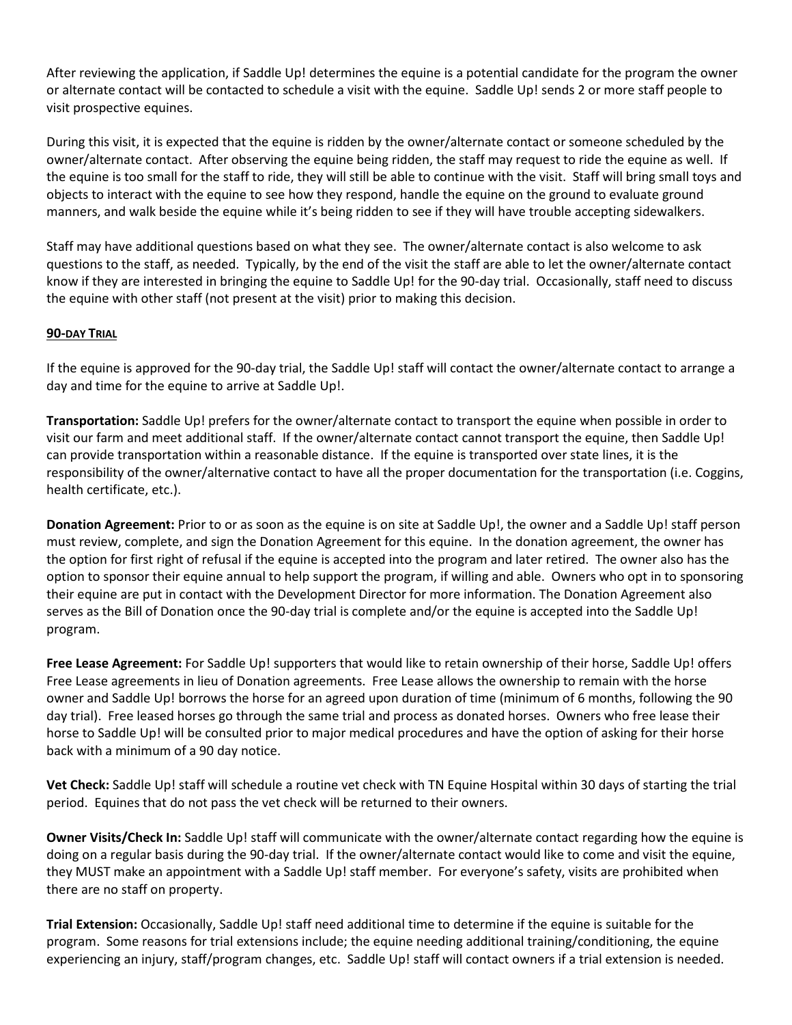After reviewing the application, if Saddle Up! determines the equine is a potential candidate for the program the owner or alternate contact will be contacted to schedule a visit with the equine. Saddle Up! sends 2 or more staff people to visit prospective equines.

During this visit, it is expected that the equine is ridden by the owner/alternate contact or someone scheduled by the owner/alternate contact. After observing the equine being ridden, the staff may request to ride the equine as well. If the equine is too small for the staff to ride, they will still be able to continue with the visit. Staff will bring small toys and objects to interact with the equine to see how they respond, handle the equine on the ground to evaluate ground manners, and walk beside the equine while it's being ridden to see if they will have trouble accepting sidewalkers.

Staff may have additional questions based on what they see. The owner/alternate contact is also welcome to ask questions to the staff, as needed. Typically, by the end of the visit the staff are able to let the owner/alternate contact know if they are interested in bringing the equine to Saddle Up! for the 90-day trial. Occasionally, staff need to discuss the equine with other staff (not present at the visit) prior to making this decision.

## **90-DAY TRIAL**

If the equine is approved for the 90-day trial, the Saddle Up! staff will contact the owner/alternate contact to arrange a day and time for the equine to arrive at Saddle Up!.

**Transportation:** Saddle Up! prefers for the owner/alternate contact to transport the equine when possible in order to visit our farm and meet additional staff. If the owner/alternate contact cannot transport the equine, then Saddle Up! can provide transportation within a reasonable distance. If the equine is transported over state lines, it is the responsibility of the owner/alternative contact to have all the proper documentation for the transportation (i.e. Coggins, health certificate, etc.).

**Donation Agreement:** Prior to or as soon as the equine is on site at Saddle Up!, the owner and a Saddle Up! staff person must review, complete, and sign the Donation Agreement for this equine.In the donation agreement, the owner has the option for first right of refusal if the equine is accepted into the program and later retired. The owner also has the option to sponsor their equine annual to help support the program, if willing and able. Owners who opt in to sponsoring their equine are put in contact with the Development Director for more information. The Donation Agreement also serves as the Bill of Donation once the 90-day trial is complete and/or the equine is accepted into the Saddle Up! program.

**Free Lease Agreement:** For Saddle Up! supporters that would like to retain ownership of their horse, Saddle Up! offers Free Lease agreements in lieu of Donation agreements. Free Lease allows the ownership to remain with the horse owner and Saddle Up! borrows the horse for an agreed upon duration of time (minimum of 6 months, following the 90 day trial). Free leased horses go through the same trial and process as donated horses. Owners who free lease their horse to Saddle Up! will be consulted prior to major medical procedures and have the option of asking for their horse back with a minimum of a 90 day notice.

**Vet Check:** Saddle Up! staff will schedule a routine vet check with TN Equine Hospital within 30 days of starting the trial period. Equines that do not pass the vet check will be returned to their owners.

**Owner Visits/Check In:** Saddle Up! staff will communicate with the owner/alternate contact regarding how the equine is doing on a regular basis during the 90-day trial. If the owner/alternate contact would like to come and visit the equine, they MUST make an appointment with a Saddle Up! staff member. For everyone's safety, visits are prohibited when there are no staff on property.

**Trial Extension:** Occasionally, Saddle Up! staff need additional time to determine if the equine is suitable for the program. Some reasons for trial extensions include; the equine needing additional training/conditioning, the equine experiencing an injury, staff/program changes, etc. Saddle Up! staff will contact owners if a trial extension is needed.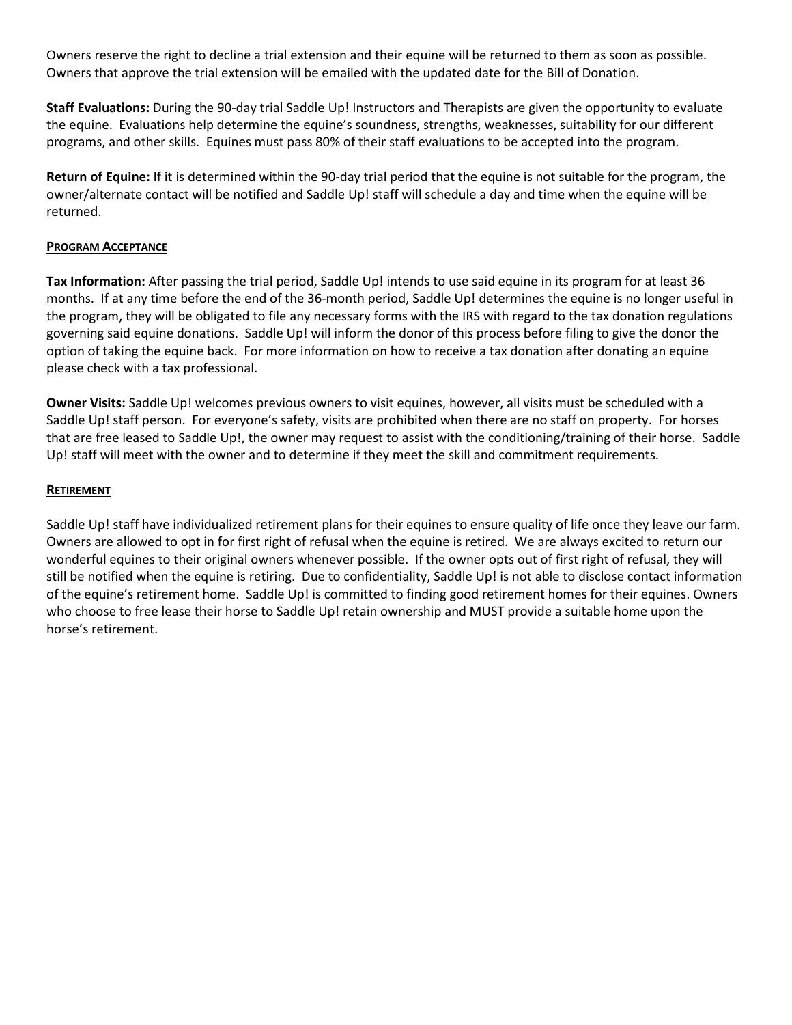Owners reserve the right to decline a trial extension and their equine will be returned to them as soon as possible. Owners that approve the trial extension will be emailed with the updated date for the Bill of Donation.

**Staff Evaluations:** During the 90-day trial Saddle Up! Instructors and Therapists are given the opportunity to evaluate the equine. Evaluations help determine the equine's soundness, strengths, weaknesses, suitability for our different programs, and other skills. Equines must pass 80% of their staff evaluations to be accepted into the program.

**Return of Equine:** If it is determined within the 90-day trial period that the equine is not suitable for the program, the owner/alternate contact will be notified and Saddle Up! staff will schedule a day and time when the equine will be returned.

## **PROGRAM ACCEPTANCE**

**Tax Information:** After passing the trial period, Saddle Up! intends to use said equine in its program for at least 36 months. If at any time before the end of the 36-month period, Saddle Up! determines the equine is no longer useful in the program, they will be obligated to file any necessary forms with the IRS with regard to the tax donation regulations governing said equine donations. Saddle Up! will inform the donor of this process before filing to give the donor the option of taking the equine back. For more information on how to receive a tax donation after donating an equine please check with a tax professional.

**Owner Visits:** Saddle Up! welcomes previous owners to visit equines, however, all visits must be scheduled with a Saddle Up! staff person. For everyone's safety, visits are prohibited when there are no staff on property. For horses that are free leased to Saddle Up!, the owner may request to assist with the conditioning/training of their horse. Saddle Up! staff will meet with the owner and to determine if they meet the skill and commitment requirements.

## **RETIREMENT**

Saddle Up! staff have individualized retirement plans for their equines to ensure quality of life once they leave our farm. Owners are allowed to opt in for first right of refusal when the equine is retired. We are always excited to return our wonderful equines to their original owners whenever possible. If the owner opts out of first right of refusal, they will still be notified when the equine is retiring. Due to confidentiality, Saddle Up! is not able to disclose contact information of the equine's retirement home. Saddle Up! is committed to finding good retirement homes for their equines. Owners who choose to free lease their horse to Saddle Up! retain ownership and MUST provide a suitable home upon the horse's retirement.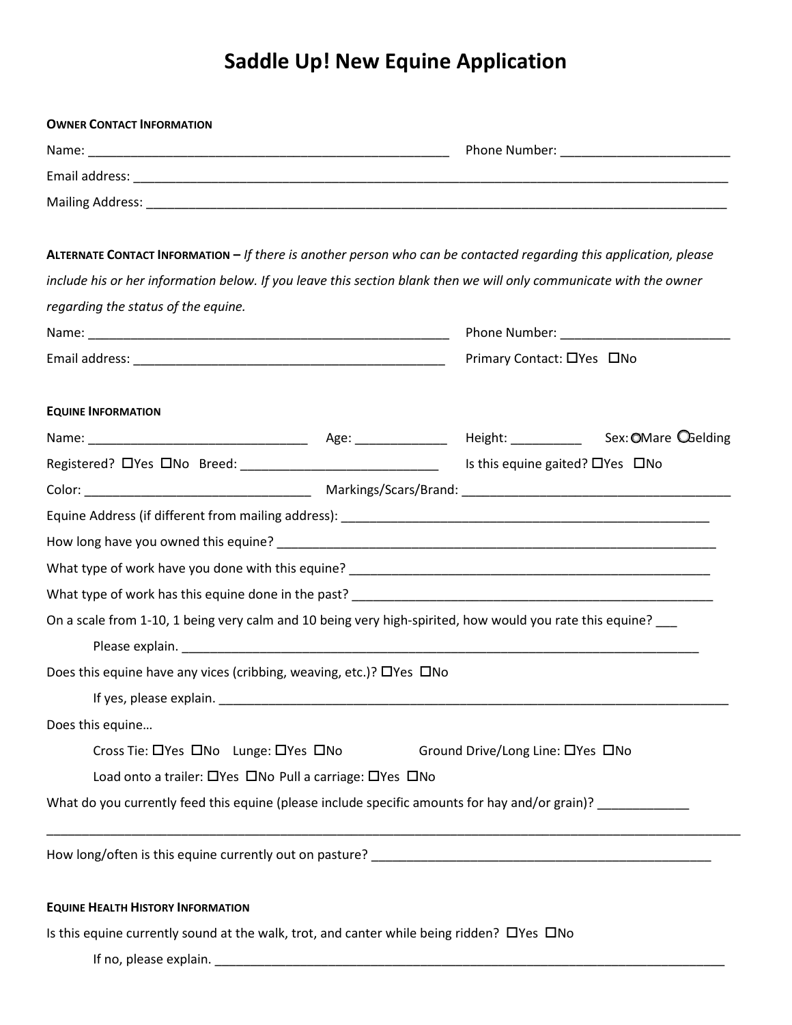# **Saddle Up! New Equine Application**

| <b>OWNER CONTACT INFORMATION</b>                                                          |  |                                                                                                                      |  |  |
|-------------------------------------------------------------------------------------------|--|----------------------------------------------------------------------------------------------------------------------|--|--|
|                                                                                           |  |                                                                                                                      |  |  |
|                                                                                           |  |                                                                                                                      |  |  |
|                                                                                           |  |                                                                                                                      |  |  |
|                                                                                           |  | ALTERNATE CONTACT INFORMATION $-$ If there is another person who can be contacted regarding this application, please |  |  |
|                                                                                           |  | include his or her information below. If you leave this section blank then we will only communicate with the owner   |  |  |
| regarding the status of the equine.                                                       |  |                                                                                                                      |  |  |
|                                                                                           |  |                                                                                                                      |  |  |
|                                                                                           |  | Primary Contact: □Yes □No                                                                                            |  |  |
| <b>EQUINE INFORMATION</b>                                                                 |  |                                                                                                                      |  |  |
|                                                                                           |  |                                                                                                                      |  |  |
|                                                                                           |  | Registered? OYes ONo Breed: __________________________________ Is this equine gaited? OYes ONo                       |  |  |
|                                                                                           |  |                                                                                                                      |  |  |
|                                                                                           |  |                                                                                                                      |  |  |
|                                                                                           |  |                                                                                                                      |  |  |
|                                                                                           |  |                                                                                                                      |  |  |
|                                                                                           |  |                                                                                                                      |  |  |
|                                                                                           |  | On a scale from 1-10, 1 being very calm and 10 being very high-spirited, how would you rate this equine? __          |  |  |
|                                                                                           |  |                                                                                                                      |  |  |
| Does this equine have any vices (cribbing, weaving, etc.)? □ Yes □ No                     |  |                                                                                                                      |  |  |
|                                                                                           |  |                                                                                                                      |  |  |
| Does this equine                                                                          |  |                                                                                                                      |  |  |
| Cross Tie: □Yes □No Lunge: □Yes □No<br>Ground Drive/Long Line: □Yes □No                   |  |                                                                                                                      |  |  |
| Load onto a trailer: OYes ONo Pull a carriage: OYes ONo                                   |  |                                                                                                                      |  |  |
|                                                                                           |  | What do you currently feed this equine (please include specific amounts for hay and/or grain)?                       |  |  |
|                                                                                           |  |                                                                                                                      |  |  |
| <b>EQUINE HEALTH HISTORY INFORMATION</b>                                                  |  |                                                                                                                      |  |  |
| Is this equine currently sound at the walk, trot, and canter while being ridden? OYes ONo |  |                                                                                                                      |  |  |
|                                                                                           |  |                                                                                                                      |  |  |